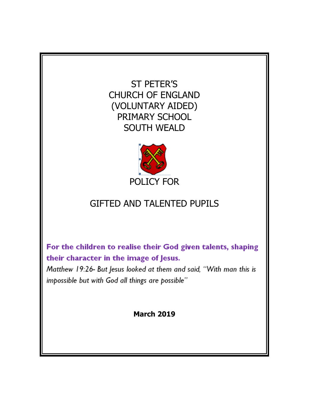ST PETER'S CHURCH OF ENGLAND (VOLUNTARY AIDED) PRIMARY SCHOOL SOUTH WEALD



# GIFTED AND TALENTED PUPILS

For the children to realise their God given talents, shaping their character in the image of Jesus.

Matthew 19:26- But Jesus looked at them and said, "With man this is impossible but with God all things are possible"

**March 2019**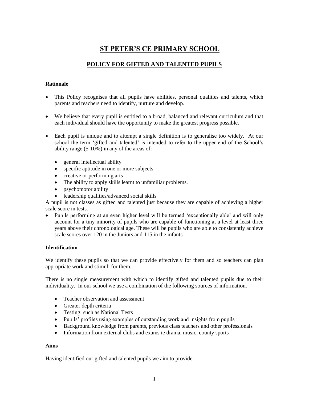## **ST PETER'S CE PRIMARY SCHOOL**

### **POLICY FOR GIFTED AND TALENTED PUPILS**

#### **Rationale**

- This Policy recognises that all pupils have abilities, personal qualities and talents, which parents and teachers need to identify, nurture and develop.
- We believe that every pupil is entitled to a broad, balanced and relevant curriculum and that each individual should have the opportunity to make the greatest progress possible.
- Each pupil is unique and to attempt a single definition is to generalise too widely. At our school the term 'gifted and talented' is intended to refer to the upper end of the School's ability range (5-10%) in any of the areas of:
	- general intellectual ability
	- specific aptitude in one or more subjects
	- creative or performing arts
	- The ability to apply skills learnt to unfamiliar problems.
	- psychomotor ability
	- leadership qualities/advanced social skills

A pupil is not classes as gifted and talented just because they are capable of achieving a higher scale score in tests.

 Pupils performing at an even higher level will be termed 'exceptionally able' and will only account for a tiny minority of pupils who are capable of functioning at a level at least three years above their chronological age. These will be pupils who are able to consistently achieve scale scores over 120 in the Juniors and 115 in the infants

#### **Identification**

We identify these pupils so that we can provide effectively for them and so teachers can plan appropriate work and stimuli for them.

There is no single measurement with which to identify gifted and talented pupils due to their individuality. In our school we use a combination of the following sources of information.

- Teacher observation and assessment
- Greater depth criteria
- Testing; such as National Tests
- Pupils' profiles using examples of outstanding work and insights from pupils
- Background knowledge from parents, previous class teachers and other professionals
- Information from external clubs and exams ie drama, music, county sports

#### **Aims**

Having identified our gifted and talented pupils we aim to provide: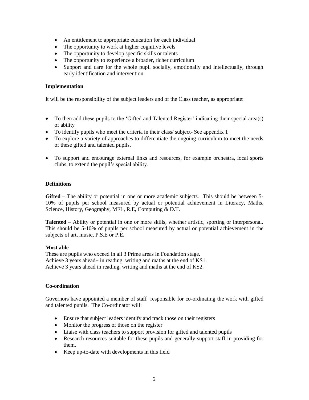- An entitlement to appropriate education for each individual
- The opportunity to work at higher cognitive levels
- The opportunity to develop specific skills or talents
- The opportunity to experience a broader, richer curriculum
- Support and care for the whole pupil socially, emotionally and intellectually, through early identification and intervention

#### **Implementation**

It will be the responsibility of the subject leaders and of the Class teacher, as appropriate:

- To then add these pupils to the 'Gifted and Talented Register' indicating their special area(s) of ability
- To identify pupils who meet the criteria in their class/ subject- See appendix 1
- To explore a variety of approaches to differentiate the ongoing curriculum to meet the needs of these gifted and talented pupils.
- To support and encourage external links and resources, for example orchestra, local sports clubs, to extend the pupil's special ability.

#### **Definitions**

**Gifted** – The ability or potential in one or more academic subjects. This should be between 5- 10% of pupils per school measured by actual or potential achievement in Literacy, Maths, Science, History, Geography, MFL, R.E, Computing & D.T.

**Talented** – Ability or potential in one or more skills, whether artistic, sporting or interpersonal. This should be 5-10% of pupils per school measured by actual or potential achievement in the subjects of art, music, P.S.E or P.E.

#### **Most able**

These are pupils who exceed in all 3 Prime areas in Foundation stage. Achieve 3 years ahead+ in reading, writing and maths at the end of KS1. Achieve 3 years ahead in reading, writing and maths at the end of KS2.

#### **Co-ordination**

Governors have appointed a member of staff responsible for co-ordinating the work with gifted and talented pupils. The Co-ordinator will:

- Ensure that subject leaders identify and track those on their registers
- Monitor the progress of those on the register
- Liaise with class teachers to support provision for gifted and talented pupils
- Research resources suitable for these pupils and generally support staff in providing for them.
- Keep up-to-date with developments in this field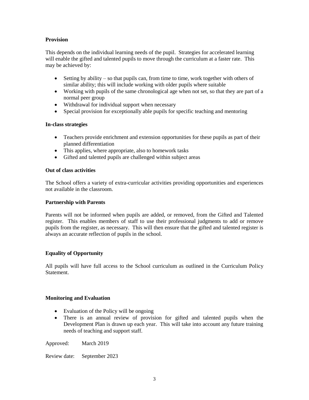#### **Provision**

This depends on the individual learning needs of the pupil. Strategies for accelerated learning will enable the gifted and talented pupils to move through the curriculum at a faster rate. This may be achieved by:

- $\bullet$  Setting by ability so that pupils can, from time to time, work together with others of similar ability; this will include working with older pupils where suitable
- Working with pupils of the same chronological age when not set, so that they are part of a normal peer group
- Withdrawal for individual support when necessary
- Special provision for exceptionally able pupils for specific teaching and mentoring

#### **In-class strategies**

- Teachers provide enrichment and extension opportunities for these pupils as part of their planned differentiation
- This applies, where appropriate, also to homework tasks
- Gifted and talented pupils are challenged within subject areas

#### **Out of class activities**

The School offers a variety of extra-curricular activities providing opportunities and experiences not available in the classroom.

#### **Partnership with Parents**

Parents will not be informed when pupils are added, or removed, from the Gifted and Talented register. This enables members of staff to use their professional judgments to add or remove pupils from the register, as necessary. This will then ensure that the gifted and talented register is always an accurate reflection of pupils in the school.

#### **Equality of Opportunity**

All pupils will have full access to the School curriculum as outlined in the Curriculum Policy Statement.

#### **Monitoring and Evaluation**

- Evaluation of the Policy will be ongoing
- There is an annual review of provision for gifted and talented pupils when the Development Plan is drawn up each year. This will take into account any future training needs of teaching and support staff.

Approved: March 2019

Review date: September 2023